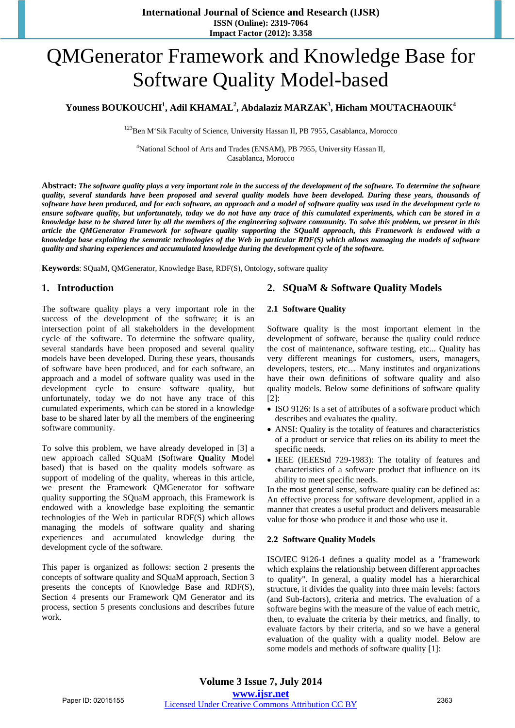# QMGenerator Framework and Knowledge Base for Software Quality Model-based

# $\mathbf{Y}$ ouness BOUKOUCHI<sup>1</sup>, Adil KHAMAL<sup>2</sup>, Abdalaziz MARZAK $^3$ , Hicham MOUTACHAOUIK $^4$

<sup>123</sup>Ben M'Sik Faculty of Science, University Hassan II, PB 7955, Casablanca, Morocco

<sup>4</sup>National School of Arts and Trades (ENSAM), PB 7955, University Hassan II, Casablanca, Morocco

**Abstract:** *The software quality plays a very important role in the success of the development of the software. To determine the software quality, several standards have been proposed and several quality models have been developed. During these years, thousands of software have been produced, and for each software, an approach and a model of software quality was used in the development cycle to ensure software quality, but unfortunately, today we do not have any trace of this cumulated experiments, which can be stored in a knowledge base to be shared later by all the members of the engineering software community. To solve this problem, we present in this article the QMGenerator Framework for software quality supporting the SQuaM approach, this Framework is endowed with a knowledge base exploiting the semantic technologies of the Web in particular RDF(S) which allows managing the models of software quality and sharing experiences and accumulated knowledge during the development cycle of the software.*

**Keywords**: SQuaM, QMGenerator, Knowledge Base, RDF(S), Ontology, software quality

# **1. Introduction**

The software quality plays a very important role in the success of the development of the software; it is an intersection point of all stakeholders in the development cycle of the software. To determine the software quality, several standards have been proposed and several quality models have been developed. During these years, thousands of software have been produced, and for each software, an approach and a model of software quality was used in the development cycle to ensure software quality, but unfortunately, today we do not have any trace of this cumulated experiments, which can be stored in a knowledge base to be shared later by all the members of the engineering software community.

To solve this problem, we have already developed in [3] a new approach called SQuaM (**S**oftware **Qua**lity **M**odel based) that is based on the quality models software as support of modeling of the quality, whereas in this article, we present the Framework QMGenerator for software quality supporting the SQuaM approach, this Framework is endowed with a knowledge base exploiting the semantic technologies of the Web in particular RDF(S) which allows managing the models of software quality and sharing experiences and accumulated knowledge during the development cycle of the software.

This paper is organized as follows: section 2 presents the concepts of software quality and SQuaM approach, Section 3 presents the concepts of Knowledge Base and RDF(S), Section 4 presents our Framework QM Generator and its process, section 5 presents conclusions and describes future work.

# **2. SQuaM & Software Quality Models**

#### **2.1 Software Quality**

Software quality is the most important element in the development of software, because the quality could reduce the cost of maintenance, software testing, etc... Quality has very different meanings for customers, users, managers, developers, testers, etc… Many institutes and organizations have their own definitions of software quality and also quality models. Below some definitions of software quality [2]:

- ISO 9126: Is a set of attributes of a software product which describes and evaluates the quality.
- ANSI: Quality is the totality of features and characteristics of a product or service that relies on its ability to meet the specific needs.
- IEEE (IEEEStd 729-1983): The totality of features and characteristics of a software product that influence on its ability to meet specific needs.

In the most general sense, software quality can be defined as: An effective process for software development, applied in a manner that creates a useful product and delivers measurable value for those who produce it and those who use it.

## **2.2 Software Quality Models**

ISO/IEC 9126-1 defines a quality model as a "framework which explains the relationship between different approaches to quality". In general, a quality model has a hierarchical structure, it divides the quality into three main levels: factors (and Sub-factors), criteria and metrics. The evaluation of a software begins with the measure of the value of each metric, then, to evaluate the criteria by their metrics, and finally, to evaluate factors by their criteria, and so we have a general evaluation of the quality with a quality model. Below are some models and methods of software quality [1]: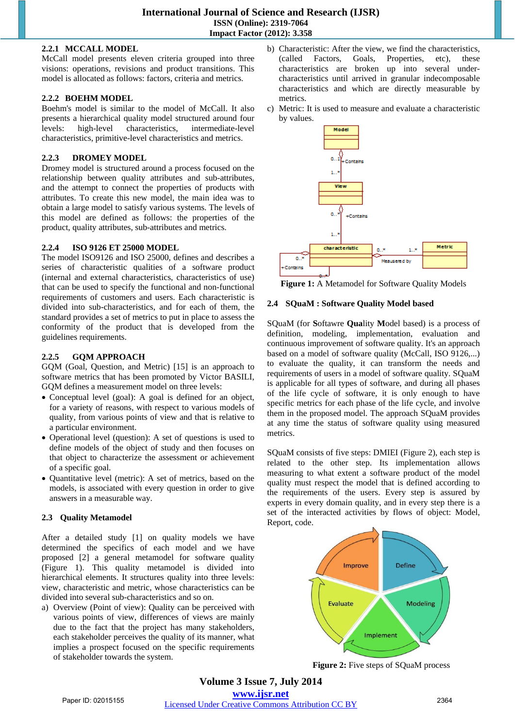## **2.2.1 MCCALL MODEL**

McCall model presents eleven criteria grouped into three visions: operations, revisions and product transitions. This model is allocated as follows: factors, criteria and metrics.

# **2.2.2 BOEHM MODEL**

Boehm's model is similar to the model of McCall. It also presents a hierarchical quality model structured around four levels: high-level characteristics, intermediate-level characteristics, primitive-level characteristics and metrics.

# **2.2.3 DROMEY MODEL**

Dromey model is structured around a process focused on the relationship between quality attributes and sub-attributes, and the attempt to connect the properties of products with attributes. To create this new model, the main idea was to obtain a large model to satisfy various systems. The levels of this model are defined as follows: the properties of the product, quality attributes, sub-attributes and metrics.

# **2.2.4 ISO 9126 ET 25000 MODEL**

The model ISO9126 and ISO 25000, defines and describes a series of characteristic qualities of a software product (internal and external characteristics, characteristics of use) that can be used to specify the functional and non-functional requirements of customers and users. Each characteristic is divided into sub-characteristics, and for each of them, the standard provides a set of metrics to put in place to assess the conformity of the product that is developed from the guidelines requirements.

# **2.2.5 GQM APPROACH**

GOM (Goal, Ouestion, and Metric) [15] is an approach to software metrics that has been promoted by Victor BASILI, GQM defines a measurement model on three levels:

- Conceptual level (goal): A goal is defined for an object, for a variety of reasons, with respect to various models of quality, from various points of view and that is relative to a particular environment.
- Operational level (question): A set of questions is used to define models of the object of study and then focuses on that object to characterize the assessment or achievement of a specific goal.
- Quantitative level (metric): A set of metrics, based on the models, is associated with every question in order to give answers in a measurable way.

# **2.3 Quality Metamodel**

After a detailed study [1] on quality models we have determined the specifics of each model and we have proposed [2] a general metamodel for software quality (Figure 1). This quality metamodel is divided into hierarchical elements. It structures quality into three levels: view, characteristic and metric, whose characteristics can be divided into several sub-characteristics and so on.

a) Overview (Point of view): Quality can be perceived with various points of view, differences of views are mainly due to the fact that the project has many stakeholders, each stakeholder perceives the quality of its manner, what implies a prospect focused on the specific requirements of stakeholder towards the system.

- b) Characteristic: After the view, we find the characteristics, (called Factors, Goals, Properties, etc), these characteristics are broken up into several undercharacteristics until arrived in granular indecomposable characteristics and which are directly measurable by metrics.
- c) Metric: It is used to measure and evaluate a characteristic by values.



**Figure 1:** A Metamodel for Software Quality Models

# **2.4 SQuaM : Software Quality Model based**

SQuaM (for **S**oftawre **Qua**lity **M**odel based) is a process of definition, modeling, implementation, evaluation and continuous improvement of software quality. It's an approach based on a model of software quality (McCall, ISO 9126,...) to evaluate the quality, it can transform the needs and requirements of users in a model of software quality. SQuaM is applicable for all types of software, and during all phases of the life cycle of software, it is only enough to have specific metrics for each phase of the life cycle, and involve them in the proposed model. The approach SQuaM provides at any time the status of software quality using measured metrics.

SQuaM consists of five steps: DMIEI (Figure 2), each step is related to the other step. Its implementation allows measuring to what extent a software product of the model quality must respect the model that is defined according to the requirements of the users. Every step is assured by experts in every domain quality, and in every step there is a set of the interacted activities by flows of object: Model, Report, code.



**Figure 2:** Five steps of SQuaM process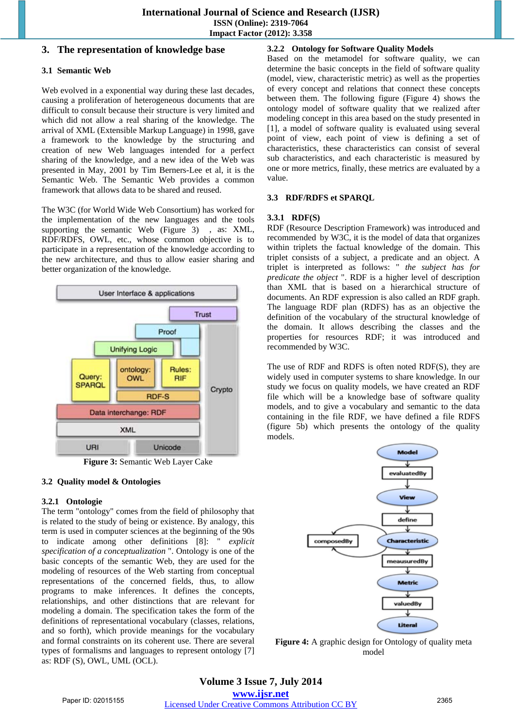# **3. The representation of knowledge base**

# **3.1 Semantic Web**

Web evolved in a exponential way during these last decades, causing a proliferation of heterogeneous documents that are difficult to consult because their structure is very limited and which did not allow a real sharing of the knowledge. The arrival of XML (Extensible Markup Language) in 1998, gave a framework to the knowledge by the structuring and creation of new Web languages intended for a perfect sharing of the knowledge, and a new idea of the Web was presented in May, 2001 by Tim Berners-Lee et al, it is the Semantic Web. The Semantic Web provides a common framework that allows data to be shared and reused.

The W3C (for World Wide Web Consortium) has worked for the implementation of the new languages and the tools supporting the semantic Web (Figure 3) , as: XML, RDF/RDFS, OWL, etc., whose common objective is to participate in a representation of the knowledge according to the new architecture, and thus to allow easier sharing and better organization of the knowledge.



**Figure 3:** Semantic Web Layer Cake

# **3.2 Quality model & Ontologies**

# **3.2.1 Ontologie**

The term "ontology" comes from the field of philosophy that is related to the study of being or existence. By analogy, this term is used in computer sciences at the beginning of the 90s to indicate among other definitions [8]: " *explicit specification of a conceptualization* ". Ontology is one of the basic concepts of the semantic Web, they are used for the modeling of resources of the Web starting from conceptual representations of the concerned fields, thus, to allow programs to make inferences. It defines the concepts, relationships, and other distinctions that are relevant for modeling a domain. The specification takes the form of the definitions of representational vocabulary (classes, relations, and so forth), which provide meanings for the vocabulary and formal constraints on its coherent use. There are several types of formalisms and languages to represent ontology [7] as: RDF (S), OWL, UML (OCL).

# **3.2.2 Ontology for Software Quality Models**

Based on the metamodel for software quality, we can determine the basic concepts in the field of software quality (model, view, characteristic metric) as well as the properties of every concept and relations that connect these concepts between them. The following figure (Figure 4) shows the ontology model of software quality that we realized after modeling concept in this area based on the study presented in [1], a model of software quality is evaluated using several point of view, each point of view is defining a set of characteristics, these characteristics can consist of several sub characteristics, and each characteristic is measured by one or more metrics, finally, these metrics are evaluated by a value.

# **3.3 RDF/RDFS et SPARQL**

# **3.3.1 RDF(S)**

RDF (Resource Description Framework) was introduced and recommended by W3C, it is the model of data that organizes within triplets the factual knowledge of the domain. This triplet consists of a subject, a predicate and an object. A triplet is interpreted as follows: " *the subject has for predicate the object* ". RDF is a higher level of description than XML that is based on a hierarchical structure of documents. An RDF expression is also called an RDF graph. The language RDF plan (RDFS) has as an objective the definition of the vocabulary of the structural knowledge of the domain. It allows describing the classes and the properties for resources RDF; it was introduced and recommended by W3C.

The use of RDF and RDFS is often noted RDF(S), they are widely used in computer systems to share knowledge. In our study we focus on quality models, we have created an RDF file which will be a knowledge base of software quality models, and to give a vocabulary and semantic to the data containing in the file RDF, we have defined a file RDFS (figure 5b) which presents the ontology of the quality models.



**Figure 4:** A graphic design for Ontology of quality meta model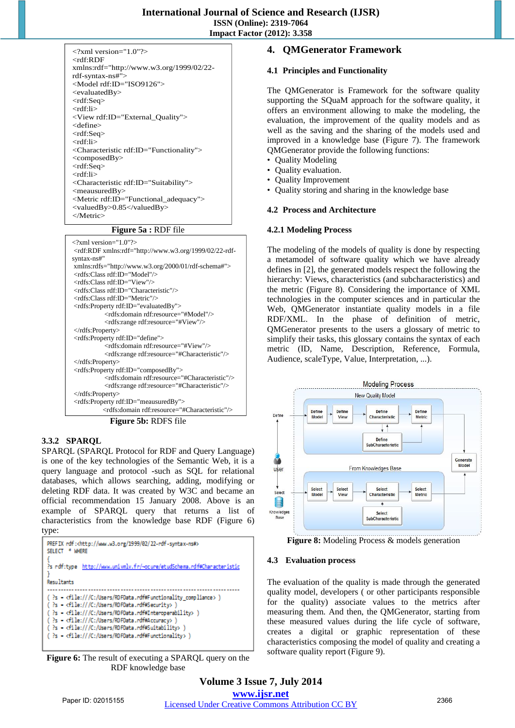| $\langle$ ?xml version="1.0"? $>$                        |
|----------------------------------------------------------|
| <rdf:rdf< td=""></rdf:rdf<>                              |
| xmlns:rdf="http://www.w3.org/1999/02/22-                 |
| rdf-syntax-ns#">                                         |
| <model rdf:id="ISO9126"></model>                         |
| $\langle$ evaluatedBy $>$                                |
| <rdf:seq></rdf:seq>                                      |
| <rdf:li></rdf:li>                                        |
| <view rdf:id="External_Quality"></view>                  |
| <define></define>                                        |
| <rdf:seq></rdf:seq>                                      |
| <rdf:li></rdf:li>                                        |
| <characteristic rdf:id="Functionality"></characteristic> |
| $\langle$ composedBy>                                    |
| $<$ rdf:Seq $>$                                          |
| <rdf:li></rdf:li>                                        |
| <characteristic rdf:id="Suitability"></characteristic>   |
| $<$ meausuredBy $>$                                      |
| <metric rdf:id="Functional_adequacy"></metric>           |
| <valuedby>0.85</valuedby>                                |
|                                                          |
|                                                          |

#### **Figure 5a :** RDF file

| $\langle$ ?xml version="1.0"?>                                                                                                   |
|----------------------------------------------------------------------------------------------------------------------------------|
| <rdf:rdf <="" td="" xmlns:rdf="http://www.w3.org/1999/02/22-rdf-&lt;/td&gt;&lt;/tr&gt;&lt;tr&gt;&lt;td&gt;syntax-ns#"></rdf:rdf> |
| xmlns:rdfs="http://www.w3.org/2000/01/rdf-schema#">                                                                              |
| <rdfs:class rdf:id="Model"></rdfs:class>                                                                                         |
| <rdfs:class rdf:id="View"></rdfs:class>                                                                                          |
| <rdfs:class rdf:id="Characteristic"></rdfs:class>                                                                                |
| <rdfs:class rdf:id="Metric"></rdfs:class>                                                                                        |
| <rdfs:property rdf:id="evaluatedBy"></rdfs:property>                                                                             |
| <rdfs:domain rdf:resource="#Model"></rdfs:domain>                                                                                |
| <rdfs:range rdf:resource="#View"></rdfs:range>                                                                                   |
| $\langle \text{rdfs:Property} \rangle$                                                                                           |
| <rdfs:property rdf:id="define"></rdfs:property>                                                                                  |
| <rdfs:domain rdf:resource="#View"></rdfs:domain>                                                                                 |
| <rdfs:range rdf:resource="#Characteristic"></rdfs:range>                                                                         |
| $\langle rdfs:Property\rangle$                                                                                                   |
| <rdfs:property rdf:id="composedBy"></rdfs:property>                                                                              |
| <rdfs:domain rdf:resource="#Characteristic"></rdfs:domain>                                                                       |
| <rdfs:range rdf:resource="#Characteristic"></rdfs:range>                                                                         |
| $\langle \text{rdfs:Property} \rangle$                                                                                           |
| <rdfs:property rdf:id="meausuredBy"></rdfs:property>                                                                             |
| <rdfs:domain rdf:resource="#Characteristic"></rdfs:domain>                                                                       |

**Figure 5b:** RDFS file

# **3.3.2 SPARQL**

SPARQL (SPARQL Protocol for RDF and Query Language) is one of the key technologies of the Semantic Web, it is a query language and protocol -such as SQL for relational databases, which allows searching, adding, modifying or deleting RDF data. It was created by W3C and became an official recommendation 15 January 2008. Above is an example of SPARQL query that returns a list of characteristics from the knowledge base RDF (Figure 6) type:

**Figure 6:** The result of executing a SPARQL query on the RDF knowledge base

# **4. QMGenerator Framework**

## **4.1 Principles and Functionality**

The QMGenerator is Framework for the software quality supporting the SQuaM approach for the software quality, it offers an environment allowing to make the modeling, the evaluation, the improvement of the quality models and as well as the saving and the sharing of the models used and improved in a knowledge base (Figure 7). The framework QMGenerator provide the following functions:

- Quality Modeling
- Quality evaluation.
- Quality Improvement
- Quality storing and sharing in the knowledge base

## **4.2 Process and Architecture**

## **4.2.1 Modeling Process**

The modeling of the models of quality is done by respecting a metamodel of software quality which we have already defines in [2], the generated models respect the following the hierarchy: Views, characteristics (and subcharacteristics) and the metric (Figure 8). Considering the importance of XML technologies in the computer sciences and in particular the Web, QMGenerator instantiate quality models in a file RDF/XML. In the phase of definition of metric, QMGenerator presents to the users a glossary of metric to simplify their tasks, this glossary contains the syntax of each metric (ID, Name, Description, Reference, Formula, Audience, scaleType, Value, Interpretation, ...).



**Figure 8:** Modeling Process & models generation

## **4.3 Evaluation process**

The evaluation of the quality is made through the generated quality model, developers ( or other participants responsible for the quality) associate values to the metrics after measuring them. And then, the QMGenerator, starting from these measured values during the life cycle of software, creates a digital or graphic representation of these characteristics composing the model of quality and creating a software quality report (Figure 9).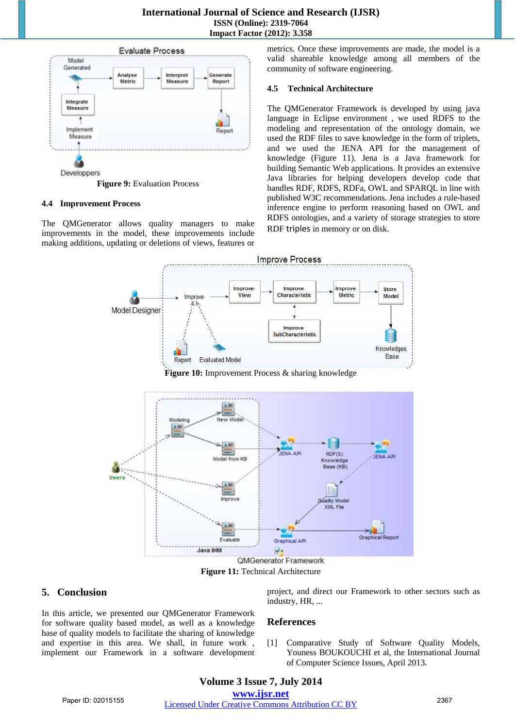## **International Journal of Science and Research (IJSR) ISSN (Online): 2319-7064 Impact Factor (2012): 3.358**



#### **4.4 Improvement Process**

The QMGenerator allows quality managers to make improvements in the model, these improvements include making additions, updating or deletions of views, features or metrics. Once these improvements are made, the model is a valid shareable knowledge among all members of the community of software engineering.

#### **4.5 Technical Architecture**

The QMGenerator Framework is developed by using java language in Eclipse environment , we used RDFS to the modeling and representation of the ontology domain, we used the RDF files to save knowledge in the form of triplets, and we used the JENA API for the management of knowledge (Figure 11). Jena is a Java framework for building Semantic Web applications. It provides an extensive Java libraries for helping developers develop code that handles RDF, RDFS, RDFa, OWL and SPARQL in line with published W3C recommendations. Jena includes a rule-based inference engine to perform reasoning based on OWL and RDFS ontologies, and a variety of storage strategies to store RDF triples in memory or on disk.



**Figure 10:** Improvement Process & sharing knowledge



**Figure 11:** Technical Architecture

# **5. Conclusion**

In this article, we presented our QMGenerator Framework for software quality based model, as well as a knowledge base of quality models to facilitate the sharing of knowledge and expertise in this area. We shall, in future work , implement our Framework in a software development project, and direct our Framework to other sectors such as industry, HR, ...

# **References**

[1] Comparative Study of Software Quality Models, Youness BOUKOUCHI et al, the International Journal of Computer Science Issues, April 2013.